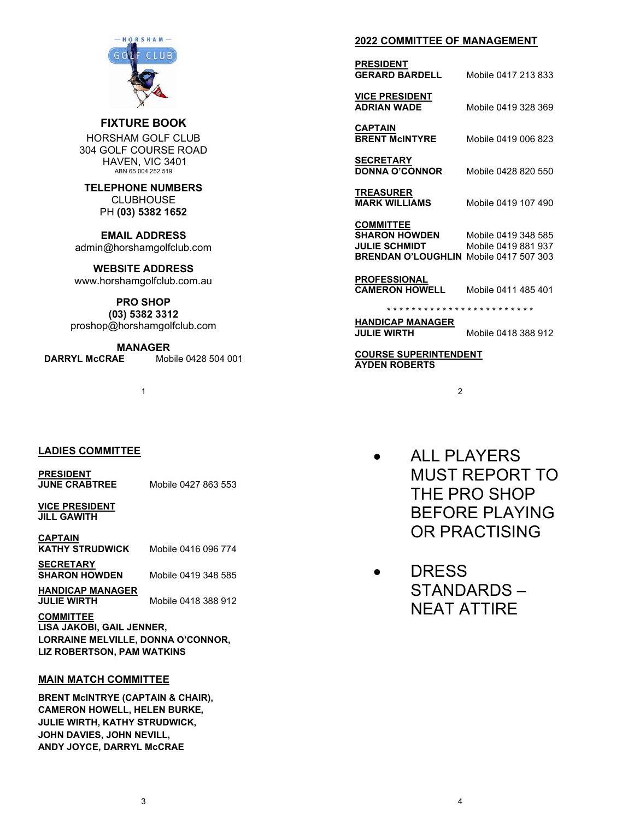

FIXTURE BOOK HORSHAM GOLF CLUB 304 GOLF COURSE ROAD HAVEN, VIC 3401 ABN 65 004 252 519

TELEPHONE NUMBERS **CLUBHOUSE** PH (03) 5382 1652

EMAIL ADDRESS admin@horshamgolfclub.com

WEBSITE ADDRESS www.horshamgolfclub.com.au

PRO SHOP (03) 5382 3312 proshop@horshamgolfclub.com

**MANAGER**<br>DARRYL McCRAE Mot Mobile 0428 504 001

1

## LADIES COMMITTEE

<u>PRESIDENT</u><br>JUNE CRABTREE

VICE PRESIDENT JILL GAWITH

#### CAPTAIN

KATHY STRUDWICK Mobile 0416 096 774

Mobile 0427 863 553

**SECRETARY** SHARON HOWDEN Mobile 0419 348 585

HANDICAP MANAGER **JULIE WIRTH Mobile 0418 388 912** 

**COMMITTEE** LISA JAKOBI, GAIL JENNER, LORRAINE MELVILLE, DONNA O'CONNOR, LIZ ROBERTSON, PAM WATKINS

## MAIN MATCH COMMITTEE

BRENT McINTRYE (CAPTAIN & CHAIR), CAMERON HOWELL, HELEN BURKE, JULIE WIRTH, KATHY STRUDWICK, JOHN DAVIES, JOHN NEVILL, **ANDY JOYCE, DARRYL McCRAE** 

#### 2022 COMMITTEE OF MANAGEMENT

PRESIDENT GERARD BARDELL Mobile 0417 213 833

VICE PRESIDENT ADRIAN WADE Mobile 0419 328 369

CAPTAIN BRENT McINTYRE Mobile 0419 006 823

**SECRETARY** DONNA O'CONNOR Mobile 0428 820 550

TREASURER

MARK WILLIAMS Mobile 0419 107 490

**COMMITTEE**<br>SHARON HOWDEN Mobile 0419 348 585 JULIE SCHMIDT Mobile 0419 881 937 BRENDAN O'LOUGHLIN Mobile 0417 507 303

PROFESSIONAL CAMERON HOWELL Mobile 0411 485 401

\* \* \* \* \* \* \* \* \* \* \* \* \* \* \* \* \* \* \* \* \* \* \* \*

HANDICAP MANAGER

**JULIE WIRTH Mobile 0418 388 912** 

COURSE SUPERINTENDENT AYDEN ROBERTS

- 2
- ALL PLAYERS MUST REPORT TO THE PRO SHOP BEFORE PLAYING OR PRACTISING
- **DRESS** STANDARDS – NEAT ATTIRE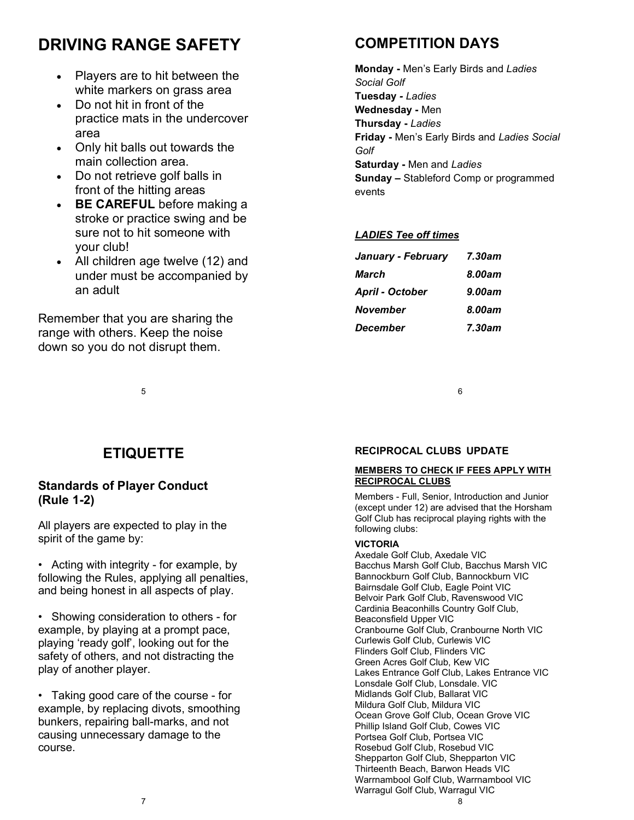# DRIVING RANGE SAFETY

- Players are to hit between the white markers on grass area
- Do not hit in front of the practice mats in the undercover area
- Only hit balls out towards the main collection area.
- Do not retrieve golf balls in front of the hitting areas
- BE CAREFUL before making a stroke or practice swing and be sure not to hit someone with your club!
- All children age twelve (12) and under must be accompanied by an adult

Remember that you are sharing the range with others. Keep the noise down so you do not disrupt them.

5

# **ETIQUETTE**

# Standards of Player Conduct (Rule 1-2)

All players are expected to play in the spirit of the game by:

• Acting with integrity - for example, by following the Rules, applying all penalties, and being honest in all aspects of play.

• Showing consideration to others - for example, by playing at a prompt pace, playing 'ready golf', looking out for the safety of others, and not distracting the play of another player.

• Taking good care of the course - for example, by replacing divots, smoothing bunkers, repairing ball-marks, and not causing unnecessary damage to the course.

# COMPETITION DAYS

Monday - Men's Early Birds and Ladies Social Golf Tuesday - Ladies Wednesday - Men Thursday - Ladies Friday - Men's Early Birds and Ladies Social **Golf** Saturday - Men and Ladies Sunday – Stableford Comp or programmed events

# LADIES Tee off times

| January - February     | 7.30am |
|------------------------|--------|
| March                  | 8.00am |
| <b>April - October</b> | 9.00am |
| <b>November</b>        | 8.00am |
| <b>December</b>        | 7.30am |

6

# RECIPROCAL CLUBS UPDATE

## MEMBERS TO CHECK IF FEES APPLY WITH RECIPROCAL CLUBS

Members - Full, Senior, Introduction and Junior (except under 12) are advised that the Horsham Golf Club has reciprocal playing rights with the following clubs:

## VICTORIA

Axedale Golf Club, Axedale VIC Bacchus Marsh Golf Club, Bacchus Marsh VIC Bannockburn Golf Club, Bannockburn VIC Bairnsdale Golf Club, Eagle Point VIC Belvoir Park Golf Club, Ravenswood VIC Cardinia Beaconhills Country Golf Club, Beaconsfield Upper VIC Cranbourne Golf Club, Cranbourne North VIC Curlewis Golf Club, Curlewis VIC Flinders Golf Club, Flinders VIC Green Acres Golf Club, Kew VIC Lakes Entrance Golf Club, Lakes Entrance VIC Lonsdale Golf Club, Lonsdale. VIC Midlands Golf Club, Ballarat VIC Mildura Golf Club, Mildura VIC Ocean Grove Golf Club, Ocean Grove VIC Phillip Island Golf Club, Cowes VIC Portsea Golf Club, Portsea VIC Rosebud Golf Club, Rosebud VIC Shepparton Golf Club, Shepparton VIC Thirteenth Beach, Barwon Heads VIC Warrnambool Golf Club, Warrnambool VIC Warragul Golf Club, Warragul VIC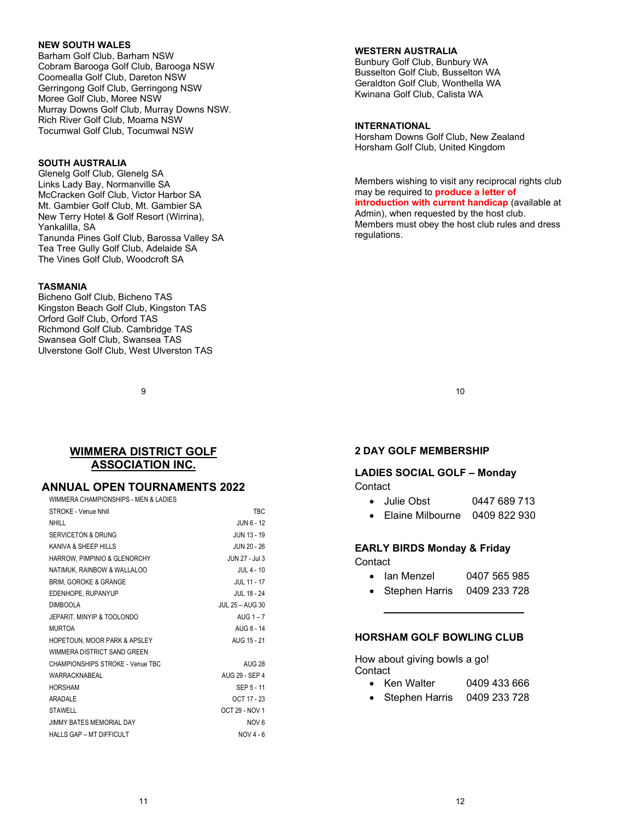## NEW SOUTH WALES

Barham Golf Club, Barham NSW Cobram Barooga Golf Club, Barooga NSW Coomealla Golf Club, Dareton NSW Gerringong Golf Club, Gerringong NSW Moree Golf Club, Moree NSW Murray Downs Golf Club, Murray Downs NSW. Rich River Golf Club, Moama NSW Tocumwal Golf Club, Tocumwal NSW

## SOUTH AUSTRALIA

Glenelg Golf Club, Glenelg SA Links Lady Bay, Normanville SA McCracken Golf Club, Victor Harbor SA Mt. Gambier Golf Club, Mt. Gambier SA New Terry Hotel & Golf Resort (Wirrina), Yankalilla, SA Tanunda Pines Golf Club, Barossa Valley SA Tea Tree Gully Golf Club, Adelaide SA The Vines Golf Club, Woodcroft SA

#### TASMANIA

Bicheno Golf Club, Bicheno TAS Kingston Beach Golf Club, Kingston TAS Orford Golf Club, Orford TAS Richmond Golf Club. Cambridge TAS Swansea Golf Club, Swansea TAS Ulverstone Golf Club, West Ulverston TAS

9

# WIMMERA DISTRICT GOLF ASSOCIATION INC.

# ANNUAL OPEN TOURNAMENTS 2022

| WIMMERA CHAMPIONSHIPS - MEN & LADIES    |                       |
|-----------------------------------------|-----------------------|
| STROKE - Venue Nhill                    | TBC                   |
| NHILL                                   | JUN 6 - 12            |
| <b>SERVICETON &amp; DRUNG</b>           | JUN 13 - 19           |
| KANIVA & SHEEP HILLS                    | JUN 20 - 26           |
| HARROW, PIMPINIO & GLENORCHY            | JUN 27 - Jul 3        |
| NATIMUK, RAINBOW & WALLALOO             | JUL 4 - 10            |
| <b>BRIM, GOROKE &amp; GRANGE</b>        | JUL 11 - 17           |
| EDENHOPE, RUPANYUP                      | <b>JUL 18 - 24</b>    |
| <b>DIMBOOLA</b>                         | JUL 25 - AUG 30       |
| JEPARIT, MINYIP & TOOLONDO              | AUG $1 - 7$           |
| <b>MURTOA</b>                           | AUG 8 - 14            |
| <b>HOPETOUN, MOOR PARK &amp; APSLEY</b> | AUG 15 - 21           |
| WIMMERA DISTRICT SAND GREEN             |                       |
| CHAMPIONSHIPS STROKE - Venue TBC        | AUG <sub>28</sub>     |
| WARRACKNABEAL                           | AUG 29 - SEP 4        |
| <b>HORSHAM</b>                          | SEP 5 - 11            |
| ARADALE                                 | OCT 17 - 23           |
| <b>STAWELL</b>                          | <b>OCT 29 - NOV 1</b> |
| JIMMY BATES MEMORIAL DAY                | NOV <sub>6</sub>      |
| HALLS GAP - MT DIFFICULT                | NOV 4 - 6             |

### WESTERN AUSTRALIA

Bunbury Golf Club, Bunbury WA Busselton Golf Club, Busselton WA Geraldton Golf Club, Wonthella WA Kwinana Golf Club, Calista WA

#### INTERNATIONAL

Horsham Downs Golf Club, New Zealand Horsham Golf Club, United Kingdom

Members wishing to visit any reciprocal rights club may be required to **produce a letter of** introduction with current handicap (available at Admin), when requested by the host club. Members must obey the host club rules and dress regulations.

10

# 2 DAY GOLF MEMBERSHIP

## LADIES SOCIAL GOLF – Monday **Contact**

- Julie Obst 0447 689 713
- Elaine Milbourne 0409 822 930

# EARLY BIRDS Monday & Friday

**Contact** 

- Ian Menzel 0407 565 985
- Stephen Harris 0409 233 728

# HORSHAM GOLF BOWLING CLUB

How about giving bowls a go! **Contact** 

- Ken Walter 0409 433 666
- Stephen Harris 0409 233 728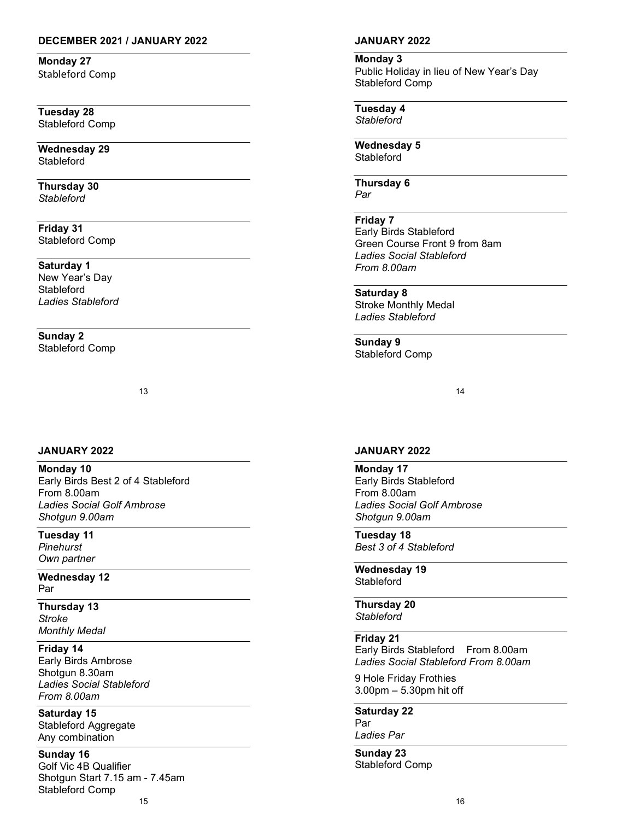## DECEMBER 2021 / JANUARY 2022

Monday 27 Stableford Comp

# Tuesday 28

Stableford Comp

## Wednesday 29 **Stableford**

Thursday 30 **Stableford** 

Friday 31 Stableford Comp

## Saturday 1

New Year's Day **Stableford** Ladies Stableford

Sunday 2 Stableford Comp

13

# JANUARY 2022

Monday 10 Early Birds Best 2 of 4 Stableford From 8.00am Ladies Social Golf Ambrose Shotgun 9.00am

# Tuesday 11

**Pinehurst** Own partner

#### Wednesday 12 Par

Thursday 13

Stroke Monthly Medal

# Friday 14

Early Birds Ambrose Shotgun 8.30am Ladies Social Stableford From 8.00am

## Saturday 15

Stableford Aggregate Any combination

# Sunday 16

Golf Vic 4B Qualifier Shotgun Start 7.15 am - 7.45am Stableford Comp

## JANUARY 2022

## Monday 3

Public Holiday in lieu of New Year's Day Stableford Comp

Tuesday 4 **Stableford** 

Wednesday 5 **Stableford** 

Thursday 6 Par

#### Friday 7

Early Birds Stableford Green Course Front 9 from 8am Ladies Social Stableford From 8.00am

### Saturday 8

Stroke Monthly Medal Ladies Stableford

Sunday 9 Stableford Comp

14

## JANUARY 2022

Monday 17 Early Birds Stableford From 8.00am Ladies Social Golf Ambrose Shotgun 9.00am

Tuesday 18 Best 3 of 4 Stableford

Wednesday 19 **Stableford** 

Thursday 20 **Stableford** 

# Friday 21

Early Birds Stableford From 8.00am Ladies Social Stableford From 8.00am

9 Hole Friday Frothies 3.00pm – 5.30pm hit off

## Saturday 22

Par Ladies Par

Sunday 23 Stableford Comp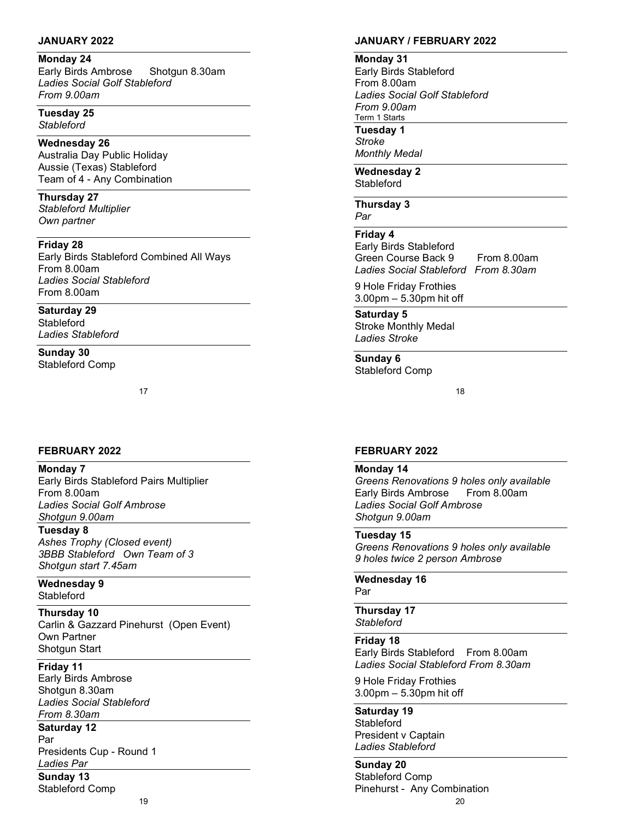## JANUARY 2022

#### Monday 24

Early Birds Ambrose Shotgun 8.30am Ladies Social Golf Stableford From 9.00am

# Tuesday 25

**Stableford** 

# Wednesday 26

Australia Day Public Holiday Aussie (Texas) Stableford Team of 4 - Any Combination

# Thursday 27

Stableford Multiplier Own partner

# Friday 28

Early Birds Stableford Combined All Ways From 8.00am Ladies Social Stableford From 8.00am

# Saturday 29

**Stableford** Ladies Stableford

# Sunday 30

Stableford Comp

17

# FEBRUARY 2022

#### Monday 7

Early Birds Stableford Pairs Multiplier From 8.00am Ladies Social Golf Ambrose Shotgun 9.00am

### Tuesday 8

Ashes Trophy (Closed event) 3BBB Stableford Own Team of 3 Shotgun start 7.45am

#### Wednesday 9 **Stableford**

Thursday 10

Carlin & Gazzard Pinehurst (Open Event) Own Partner Shotgun Start

## Friday 11

Early Birds Ambrose Shotgun 8.30am Ladies Social Stableford From 8.30am

# Saturday 12

Par Presidents Cup - Round 1 Ladies Par

# Sunday 13

Stableford Comp

19

# JANUARY / FEBRUARY 2022

## Monday 31

Early Birds Stableford From 8.00am Ladies Social Golf Stableford From 9.00am Term 1 Starts

# Tuesday 1

**Stroke** 

Monthly Medal

Wednesday 2 **Stableford** 

Thursday 3 Par

# Friday 4

Early Birds Stableford Green Course Back 9 From 8.00am Ladies Social Stableford From 8.30am

9 Hole Friday Frothies 3.00pm – 5.30pm hit off

Saturday 5

Stroke Monthly Medal Ladies Stroke

Sunday 6 Stableford Comp

18

# FEBRUARY 2022

## Monday 14

Greens Renovations 9 holes only available Early Birds Ambrose From 8.00am Ladies Social Golf Ambrose Shotgun 9.00am

# Tuesday 15

Greens Renovations 9 holes only available 9 holes twice 2 person Ambrose

Wednesday 16 Par

Thursday 17 **Stableford** 

## Friday 18

Early Birds Stableford From 8.00am Ladies Social Stableford From 8.30am

9 Hole Friday Frothies 3.00pm – 5.30pm hit off

# Saturday 19

**Stableford** President v Captain Ladies Stableford

## Sunday 20

Stableford Comp Pinehurst - Any Combination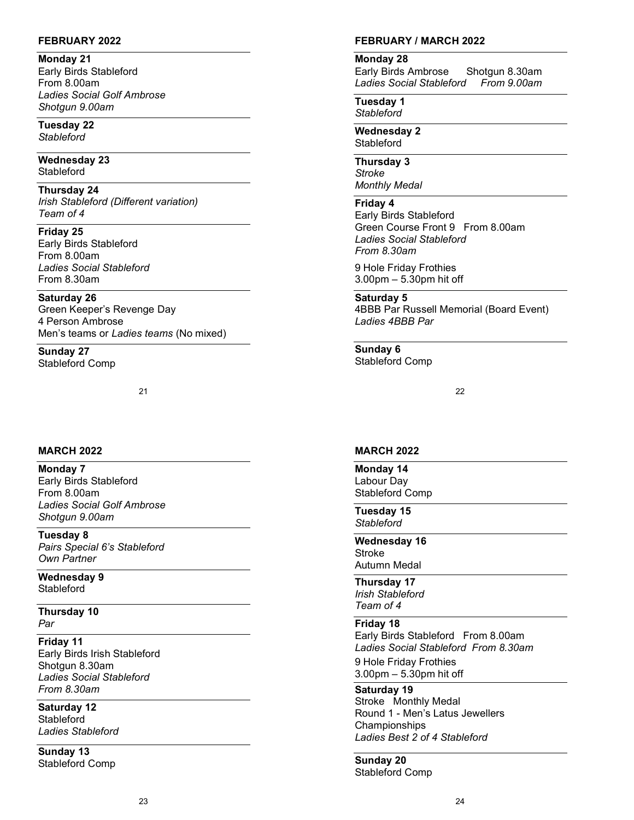# FEBRUARY 2022

Monday 21

Early Birds Stableford From 8.00am Ladies Social Golf Ambrose Shotgun 9.00am

#### Tuesday 22 **Stableford**

Wednesday 23

**Stableford** 

Thursday 24

Irish Stableford (Different variation) Team of 4

## Friday 25

Early Birds Stableford From 8.00am Ladies Social Stableford From 8.30am

# Saturday 26

Green Keeper's Revenge Day 4 Person Ambrose Men's teams or Ladies teams (No mixed)

# Sunday 27

Stableford Comp

21

# MARCH 2022

Monday 7 Early Birds Stableford From 8.00am Ladies Social Golf Ambrose Shotgun 9.00am

## Tuesday 8

Pairs Special 6's Stableford Own Partner

# Wednesday 9

**Stableford** 

Thursday 10 Par

# Friday 11

Early Birds Irish Stableford Shotgun 8.30am Ladies Social Stableford From 8.30am

# Saturday 12

**Stableford** Ladies Stableford

Sunday 13 Stableford Comp

# FEBRUARY / MARCH 2022

## Monday 28

Early Birds Ambrose Shotgun 8.30am Ladies Social Stableford From 9.00am

Tuesday 1 **Stableford** 

Wednesday 2 **Stableford** 

# Thursday 3

**Stroke** Monthly Medal

Friday 4

Early Birds Stableford Green Course Front 9 From 8.00am Ladies Social Stableford From 8.30am

9 Hole Friday Frothies 3.00pm – 5.30pm hit off

Saturday 5 4BBB Par Russell Memorial (Board Event) Ladies 4BBB Par

# Sunday 6

Stableford Comp

22

# MARCH 2022

Monday 14 Labour Day Stableford Comp

Tuesday 15 **Stableford** 

Wednesday 16

**Stroke** Autumn Medal

# Thursday 17

Irish Stableford Team of 4

# Friday 18

Early Birds Stableford From 8.00am Ladies Social Stableford From 8.30am 9 Hole Friday Frothies 3.00pm – 5.30pm hit off

## Saturday 19

Stroke Monthly Medal Round 1 - Men's Latus Jewellers Championships Ladies Best 2 of 4 Stableford

Sunday 20 Stableford Comp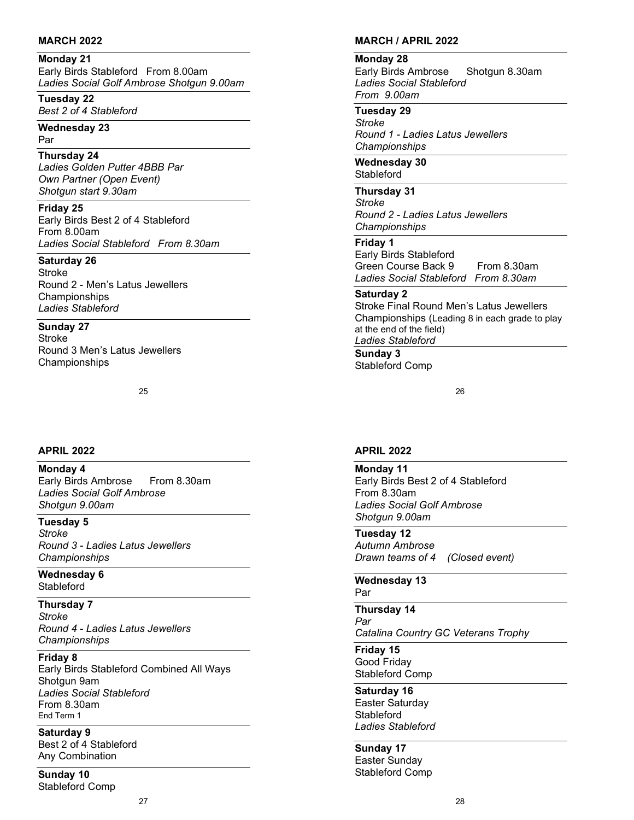## MARCH 2022

## Monday 21

Early Birds Stableford From 8.00am Ladies Social Golf Ambrose Shotgun 9.00am

# Tuesday 22

Best 2 of 4 Stableford

# Wednesday 23

Par

# Thursday 24

Ladies Golden Putter 4BBB Par Own Partner (Open Event) Shotgun start 9.30am

# Friday 25

Early Birds Best 2 of 4 Stableford From 8.00am Ladies Social Stableford From 8.30am

# Saturday 26

Stroke Round 2 - Men's Latus Jewellers Championships Ladies Stableford

# Sunday 27

**Stroke** Round 3 Men's Latus Jewellers **Championships** 

25

# APRIL 2022

Monday 4 Early Birds Ambrose From 8.30am Ladies Social Golf Ambrose

# Tuesday 5

Shotgun 9.00am

**Stroke** Round 3 - Ladies Latus Jewellers **Championships** 

# Wednesday 6

**Stableford** 

# Thursday 7

Stroke Round 4 - Ladies Latus Jewellers **Championships** 

# Friday 8

Early Birds Stableford Combined All Ways Shotgun 9am Ladies Social Stableford From 8.30am End Term 1

# Saturday 9

Best 2 of 4 Stableford Any Combination

#### Sunday 10 Stableford Comp

27

# MARCH / APRIL 2022

# Monday 28

Early Birds Ambrose Shotgun 8.30am Ladies Social Stableford From 9.00am

# Tuesday 29

**Stroke** Round 1 - Ladies Latus Jewellers **Championships** 

#### Wednesday 30 Stableford

# Thursday 31

**Stroke** Round 2 - Ladies Latus Jewellers **Championships** 

# Friday 1

Early Birds Stableford Green Course Back 9 From 8.30am Ladies Social Stableford From 8.30am

# Saturday 2

Stroke Final Round Men's Latus Jewellers Championships (Leading 8 in each grade to play at the end of the field) Ladies Stableford

# Sunday 3

Stableford Comp

26

# APRIL 2022

Monday 11 Early Birds Best 2 of 4 Stableford From 8.30am Ladies Social Golf Ambrose Shotgun 9.00am

# Tuesday 12

Autumn Ambrose Drawn teams of 4 (Closed event)

#### Wednesday 13 Par

# Thursday 14

Par Catalina Country GC Veterans Trophy

# Friday 15 Good Friday Stableford Comp

# Saturday 16

Easter Saturday **Stableford** Ladies Stableford

## Sunday 17

Easter Sunday Stableford Comp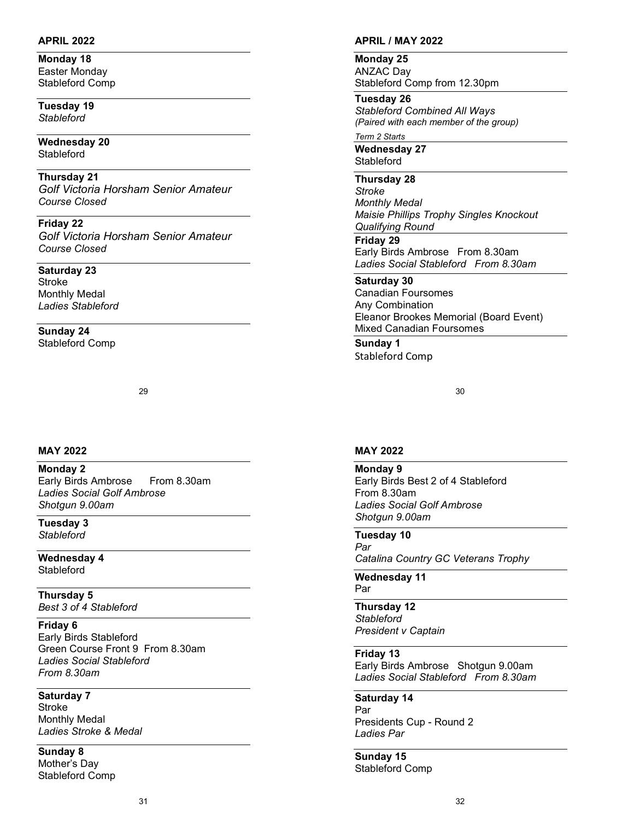## APRIL 2022

Monday 18 Easter Monday Stableford Comp

Tuesday 19 **Stableford** 

# Wednesday 20

**Stableford** 

# Thursday 21

Golf Victoria Horsham Senior Amateur Course Closed

Friday 22 Golf Victoria Horsham Senior Amateur Course Closed

## Saturday 23

Stroke Monthly Medal Ladies Stableford

Sunday 24 Stableford Comp

29

## MAY 2022

Monday 2 Early Birds Ambrose From 8.30am Ladies Social Golf Ambrose Shotgun 9.00am

Tuesday 3 **Stableford** 

Wednesday 4 **Stableford** 

Thursday 5 Best 3 of 4 Stableford

## Friday 6

Early Birds Stableford Green Course Front 9 From 8.30am Ladies Social Stableford From 8.30am

## Saturday 7

**Stroke** Monthly Medal Ladies Stroke & Medal

Sunday 8 Mother's Day Stableford Comp

## APRIL / MAY 2022

## Monday 25

ANZAC Day Stableford Comp from 12.30pm

# Tuesday 26

Stableford Combined All Ways (Paired with each member of the group)

# Term 2 Starts

Wednesday 27 **Stableford** 

# Thursday 28

**Stroke** Monthly Medal Maisie Phillips Trophy Singles Knockout Qualifying Round

Friday 29 Early Birds Ambrose From 8.30am Ladies Social Stableford From 8.30am

## Saturday 30

Canadian Foursomes Any Combination Eleanor Brookes Memorial (Board Event) Mixed Canadian Foursomes

Sunday 1 Stableford Comp

30

# MAY 2022

Monday 9 Early Birds Best 2 of 4 Stableford From 8.30am Ladies Social Golf Ambrose Shotgun 9.00am

# Tuesday 10

Par Catalina Country GC Veterans Trophy

Wednesday 11 Par

## Thursday 12

**Stableford** President v Captain

## Friday 13

Early Birds Ambrose Shotgun 9.00am Ladies Social Stableford From 8.30am

### Saturday 14

Par Presidents Cup - Round 2 Ladies Par

Sunday 15 Stableford Comp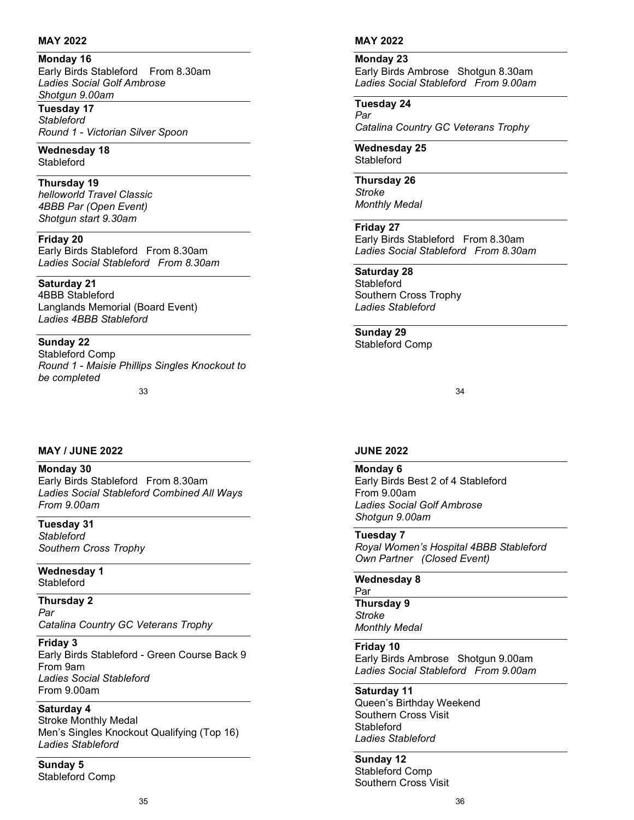## MAY 2022

## Monday 16

Early Birds Stableford From 8.30am Ladies Social Golf Ambrose Shotgun 9.00am

Tuesday 17

**Stableford** Round 1 - Victorian Silver Spoon

#### Wednesday 18 **Stableford**

## Thursday 19

helloworld Travel Classic 4BBB Par (Open Event) Shotgun start 9.30am

## Friday 20

Early Birds Stableford From 8.30am Ladies Social Stableford From 8.30am

## Saturday 21

4BBB Stableford Langlands Memorial (Board Event) Ladies 4BBB Stableford

## Sunday 22

Stableford Comp Round 1 - Maisie Phillips Singles Knockout to be completed

33

## MAY / JUNE 2022

#### Monday 30

Early Birds Stableford From 8.30am Ladies Social Stableford Combined All Ways From 9.00am

## Tuesday 31

**Stableford** Southern Cross Trophy

#### Wednesday 1 **Stableford**

Thursday 2 Par Catalina Country GC Veterans Trophy

# Friday 3

Early Birds Stableford - Green Course Back 9 From 9am Ladies Social Stableford From 9.00am

## Saturday 4

Stroke Monthly Medal Men's Singles Knockout Qualifying (Top 16) Ladies Stableford

Sunday 5 Stableford Comp

# MAY 2022

#### Monday 23

Early Birds Ambrose Shotgun 8.30am Ladies Social Stableford From 9.00am

# Tuesday 24

Par Catalina Country GC Veterans Trophy

Wednesday 25 **Stableford** 

## Thursday 26

**Stroke** Monthly Medal

## Friday 27

Early Birds Stableford From 8.30am Ladies Social Stableford From 8.30am

## Saturday 28

**Stableford** Southern Cross Trophy Ladies Stableford

## Sunday 29

Stableford Comp

34

# JUNE 2022

## Monday 6

Early Birds Best 2 of 4 Stableford From 9.00am Ladies Social Golf Ambrose Shotgun 9.00am

# Tuesday 7

Royal Women's Hospital 4BBB Stableford Own Partner (Closed Event)

#### Wednesday 8

Par Thursday 9 **Stroke** Monthly Medal

## Friday 10

Early Birds Ambrose Shotgun 9.00am Ladies Social Stableford From 9.00am

## Saturday 11

Queen's Birthday Weekend Southern Cross Visit **Stableford** Ladies Stableford

# Sunday 12

Stableford Comp Southern Cross Visit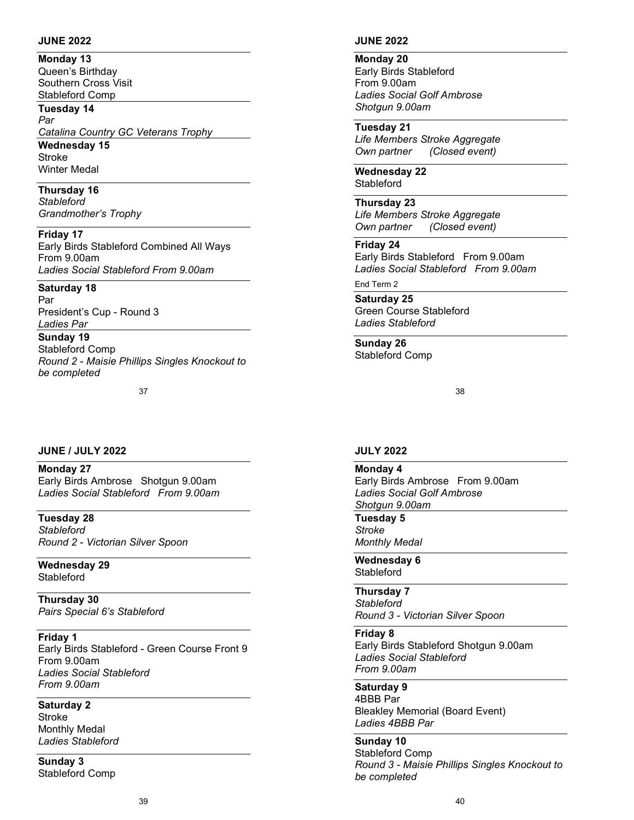## JUNE 2022

# Monday 13

Queen's Birthday Southern Cross Visit Stableford Comp

## Tuesday 14

Par

Catalina Country GC Veterans Trophy Wednesday 15

Stroke

Winter Medal

# Thursday 16

**Stableford** Grandmother's Trophy

## Friday 17

Early Birds Stableford Combined All Ways From 9.00am Ladies Social Stableford From 9.00am

# Saturday 18

Par President's Cup - Round 3 Ladies Par

# Sunday 19

Stableford Comp Round 2 - Maisie Phillips Singles Knockout to be completed

37

## JUNE / JULY 2022

#### Monday 27 Early Birds Ambrose Shotgun 9.00am Ladies Social Stableford From 9.00am

Tuesday 28 **Stableford** Round 2 - Victorian Silver Spoon

# Wednesday 29 **Stableford**

Thursday 30 Pairs Special 6's Stableford

# Friday 1

Early Birds Stableford - Green Course Front 9 From 9.00am Ladies Social Stableford From 9.00am

# Saturday 2

Stroke Monthly Medal Ladies Stableford

Sunday 3 Stableford Comp

# JUNE 2022

Monday 20 Early Birds Stableford

From 9.00am Ladies Social Golf Ambrose Shotgun 9.00am

# Tuesday 21

Life Members Stroke Aggregate Own partner (Closed event)

Wednesday 22 **Stableford** 

# Thursday 23 Life Members Stroke Aggregate Own partner (Closed event)

Friday 24 Early Birds Stableford From 9.00am Ladies Social Stableford From 9.00am

End Term 2

Saturday 25 Green Course Stableford Ladies Stableford

Sunday 26 Stableford Comp

38

# JULY 2022

## Monday 4

Early Birds Ambrose From 9.00am Ladies Social Golf Ambrose Shotgun 9.00am Tuesday 5

# **Stroke**

Monthly Medal

Wednesday 6 **Stableford** 

# Thursday 7

**Stableford** Round 3 - Victorian Silver Spoon

## Friday 8

Early Birds Stableford Shotgun 9.00am Ladies Social Stableford From 9.00am

# Saturday 9

4BBB Par Bleakley Memorial (Board Event) Ladies 4BBB Par

# Sunday 10

Stableford Comp Round 3 - Maisie Phillips Singles Knockout to be completed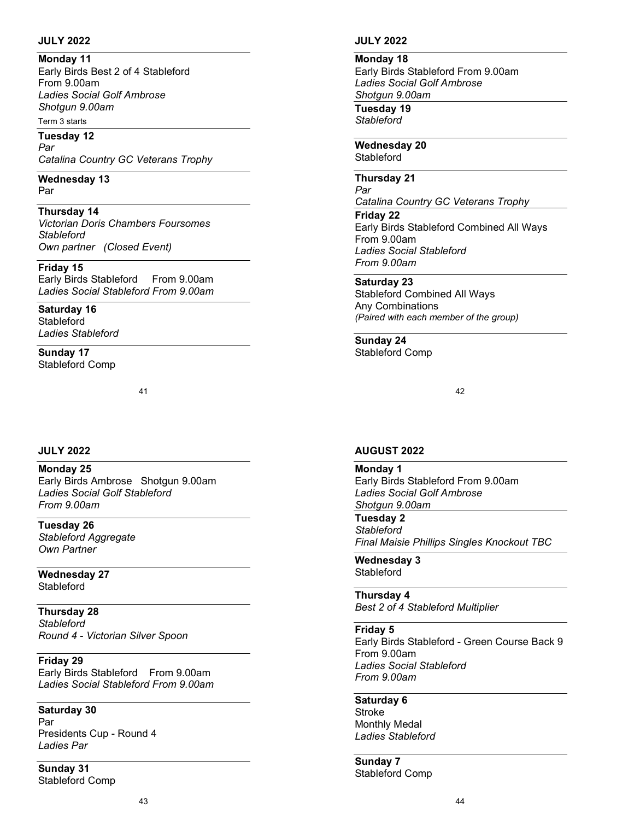## JULY 2022

## Monday 11

Early Birds Best 2 of 4 Stableford From 9.00am Ladies Social Golf Ambrose Shotgun 9.00am

Term 3 starts

#### Tuesday 12 Par

Catalina Country GC Veterans Trophy

# Wednesday 13

Par

# Thursday 14

Victorian Doris Chambers Foursomes **Stableford** Own partner (Closed Event)

Friday 15 Early Birds Stableford From 9.00am Ladies Social Stableford From 9.00am

Saturday 16 **Stableford** Ladies Stableford

Sunday 17 Stableford Comp

41

## JULY 2022

Monday 25 Early Birds Ambrose Shotgun 9.00am Ladies Social Golf Stableford From 9.00am

# Tuesday 26

Stableford Aggregate Own Partner

#### Wednesday 27 **Stableford**

## Thursday 28

**Stableford** Round 4 - Victorian Silver Spoon

## Friday 29

Early Birds Stableford From 9.00am Ladies Social Stableford From 9.00am

## Saturday 30

Par Presidents Cup - Round 4 Ladies Par

# Sunday 31 Stableford Comp

43

# JULY 2022

## Monday 18

Early Birds Stableford From 9.00am Ladies Social Golf Ambrose Shotgun 9.00am

Tuesday 19 **Stableford** 

Wednesday 20 **Stableford** 

# Thursday 21

Par Catalina Country GC Veterans Trophy

Friday 22 Early Birds Stableford Combined All Ways From 9.00am Ladies Social Stableford From 9.00am

## Saturday 23

Stableford Combined All Ways Any Combinations (Paired with each member of the group)

Sunday 24 Stableford Comp

42

# AUGUST 2022

## Monday 1 Early Birds Stableford From 9.00am Ladies Social Golf Ambrose Shotgun 9.00am Tuesday 2 **Stableford** Final Maisie Phillips Singles Knockout TBC

Wednesday 3 **Stableford** 

Thursday 4 Best 2 of 4 Stableford Multiplier

## Friday 5

Early Birds Stableford - Green Course Back 9 From 9.00am Ladies Social Stableford From 9.00am

# Saturday 6

Stroke Monthly Medal Ladies Stableford

Sunday 7 Stableford Comp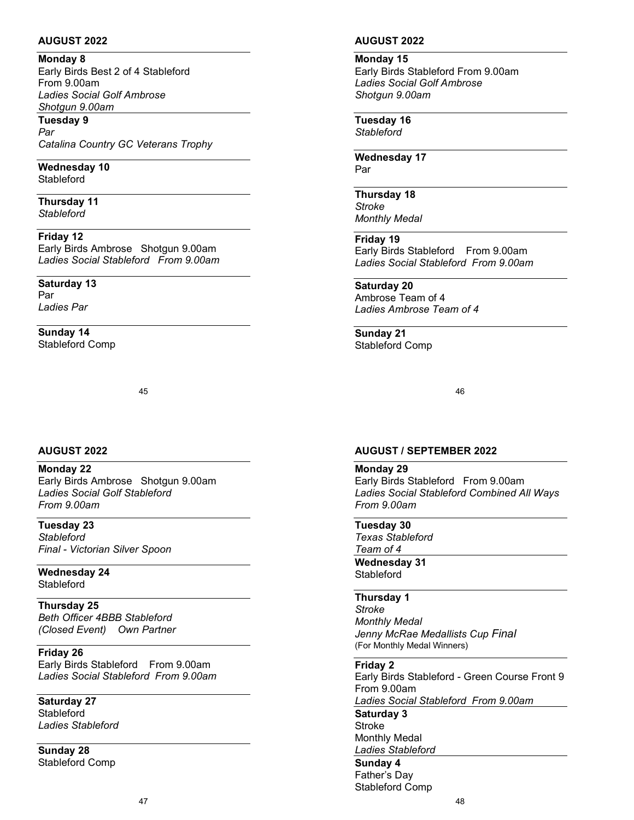# AUGUST 2022

## Monday 8

Early Birds Best 2 of 4 Stableford From 9.00am Ladies Social Golf Ambrose Shotgun 9.00am

#### Tuesday 9 Par

Catalina Country GC Veterans Trophy

# Wednesday 10

**Stableford** 

Thursday 11 **Stableford** 

# Friday 12

Early Birds Ambrose Shotgun 9.00am Ladies Social Stableford From 9.00am

#### Saturday 13 Par Ladies Par

Sunday 14

Stableford Comp

45

# AUGUST 2022

Monday 22 Early Birds Ambrose Shotgun 9.00am Ladies Social Golf Stableford From 9.00am

# Tuesday 23

**Stableford** Final - Victorian Silver Spoon

#### Wednesday 24 **Stableford**

Thursday 25 Beth Officer 4BBB Stableford (Closed Event) Own Partner

Friday 26 Early Birds Stableford From 9.00am Ladies Social Stableford From 9.00am

# Saturday 27

**Stableford** Ladies Stableford

Sunday 28 Stableford Comp

## AUGUST 2022

# Monday 15

Early Birds Stableford From 9.00am Ladies Social Golf Ambrose Shotgun 9.00am

Tuesday 16 **Stableford** 

Wednesday 17 Par

#### Thursday 18 Stroke

Monthly Medal

# Friday 19

Early Birds Stableford From 9.00am Ladies Social Stableford From 9.00am

#### Saturday 20 Ambrose Team of 4

Ladies Ambrose Team of 4

Sunday 21 Stableford Comp

46

# AUGUST / SEPTEMBER 2022

# Monday 29

Early Birds Stableford From 9.00am Ladies Social Stableford Combined All Ways From 9.00am

## Tuesday 30

Texas Stableford Team of 4 Wednesday 31 **Stableford** 

# Thursday 1

**Stroke** Monthly Medal Jenny McRae Medallists Cup Final (For Monthly Medal Winners)

## Friday 2

Early Birds Stableford - Green Course Front 9 From 9.00am Ladies Social Stableford From 9.00am

# Saturday 3

Stroke Monthly Medal Ladies Stableford

# Sunday 4

Father's Day Stableford Comp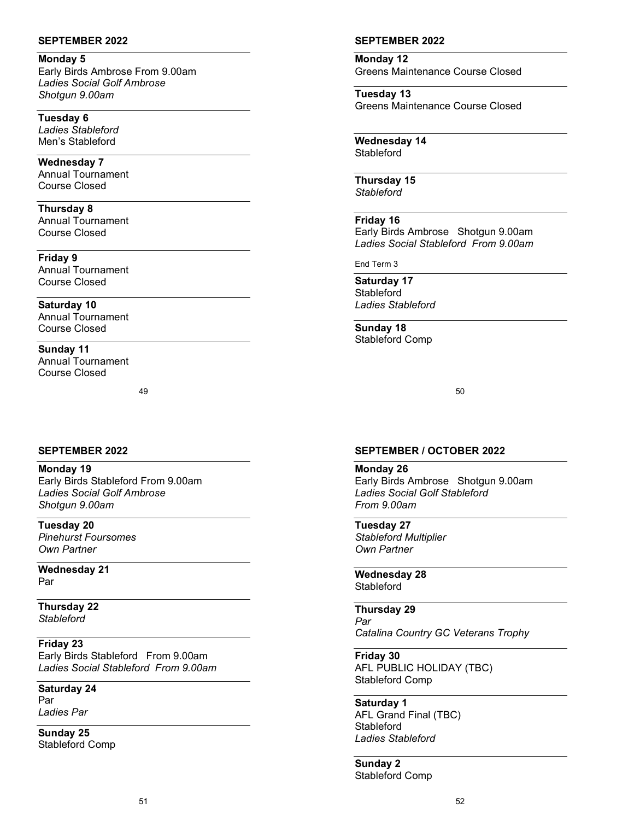## SEPTEMBER 2022

#### Monday 5

Early Birds Ambrose From 9.00am Ladies Social Golf Ambrose Shotgun 9.00am

#### Tuesday 6

Ladies Stableford Men's Stableford

#### Wednesday 7

Annual Tournament Course Closed

#### Thursday 8 Annual Tournament

Course Closed

### Friday 9

Annual Tournament Course Closed

# Saturday 10

Annual Tournament Course Closed

# Sunday 11

Annual Tournament Course Closed

49

# SEPTEMBER 2022

#### Monday 19

Early Birds Stableford From 9.00am Ladies Social Golf Ambrose Shotgun 9.00am

# Tuesday 20

Pinehurst Foursomes Own Partner

# Wednesday 21 Par

Thursday 22 **Stableford** 

#### Friday 23

Early Birds Stableford From 9.00am Ladies Social Stableford From 9.00am

### Saturday 24 Par

Ladies Par

Sunday 25 Stableford Comp

#### SEPTEMBER 2022

Monday 12 Greens Maintenance Course Closed

Tuesday 13 Greens Maintenance Course Closed

Wednesday 14 **Stableford** 

#### Thursday 15 **Stableford**

Friday 16 Early Birds Ambrose Shotgun 9.00am Ladies Social Stableford From 9.00am

End Term 3

#### Saturday 17

**Stableford** Ladies Stableford

Sunday 18 Stableford Comp

50

# SEPTEMBER / OCTOBER 2022

# Monday 26

Early Birds Ambrose Shotgun 9.00am Ladies Social Golf Stableford From 9.00am

#### Tuesday 27

Stableford Multiplier Own Partner

Wednesday 28 **Stableford** 

## Thursday 29

Par Catalina Country GC Veterans Trophy

## Friday 30

AFL PUBLIC HOLIDAY (TBC) Stableford Comp

#### Saturday 1

AFL Grand Final (TBC) **Stableford** Ladies Stableford

Sunday 2 Stableford Comp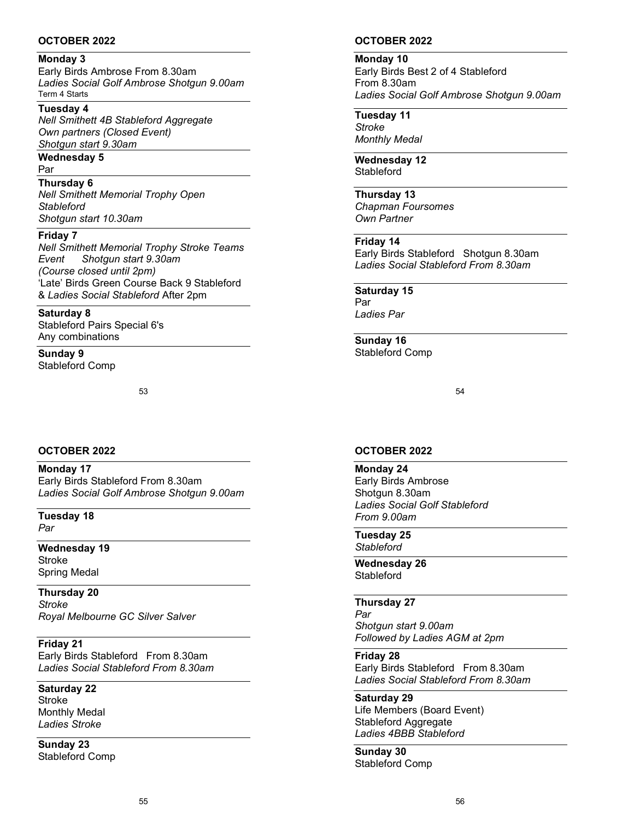# OCTOBER 2022

## Monday 3

Early Birds Ambrose From 8.30am Ladies Social Golf Ambrose Shotgun 9.00am Term 4 Starts

## Tuesday 4

Nell Smithett 4B Stableford Aggregate Own partners (Closed Event) Shotgun start 9.30am

# Wednesday 5

Par

Thursday 6 Nell Smithett Memorial Trophy Open **Stableford** Shotgun start 10.30am

### Friday 7

Nell Smithett Memorial Trophy Stroke Teams Event Shotgun start 9.30am (Course closed until 2pm) 'Late' Birds Green Course Back 9 Stableford & Ladies Social Stableford After 2pm

## Saturday 8

Stableford Pairs Special 6's Any combinations

# Sunday 9

Stableford Comp

53

# OCTOBER 2022

Monday 17

Early Birds Stableford From 8.30am Ladies Social Golf Ambrose Shotgun 9.00am

Tuesday 18 Par

# Wednesday 19

**Stroke** Spring Medal

## Thursday 20

**Stroke** Royal Melbourne GC Silver Salver

Friday 21 Early Birds Stableford From 8.30am Ladies Social Stableford From 8.30am

# Saturday 22

Stroke Monthly Medal Ladies Stroke

Sunday 23 Stableford Comp

# OCTOBER 2022

## Monday 10

Early Birds Best 2 of 4 Stableford From 8.30am Ladies Social Golf Ambrose Shotgun 9.00am

Tuesday 11 **Stroke** Monthly Medal

Wednesday 12 **Stableford** 

# Thursday 13

Chapman Foursomes Own Partner

## Friday 14

Early Birds Stableford Shotgun 8.30am Ladies Social Stableford From 8.30am

# Saturday 15

Par Ladies Par

Sunday 16 Stableford Comp

54

# OCTOBER 2022

## Monday 24

Early Birds Ambrose Shotgun 8.30am Ladies Social Golf Stableford From 9.00am

# Tuesday 25

**Stableford** 

Wednesday 26 **Stableford** 

# Thursday 27

l

Par Shotgun start 9.00am Followed by Ladies AGM at 2pm

## Friday 28

Early Birds Stableford From 8.30am Ladies Social Stableford From 8.30am

## Saturday 29

Life Members (Board Event) Stableford Aggregate Ladies 4BBB Stableford

Sunday 30 Stableford Comp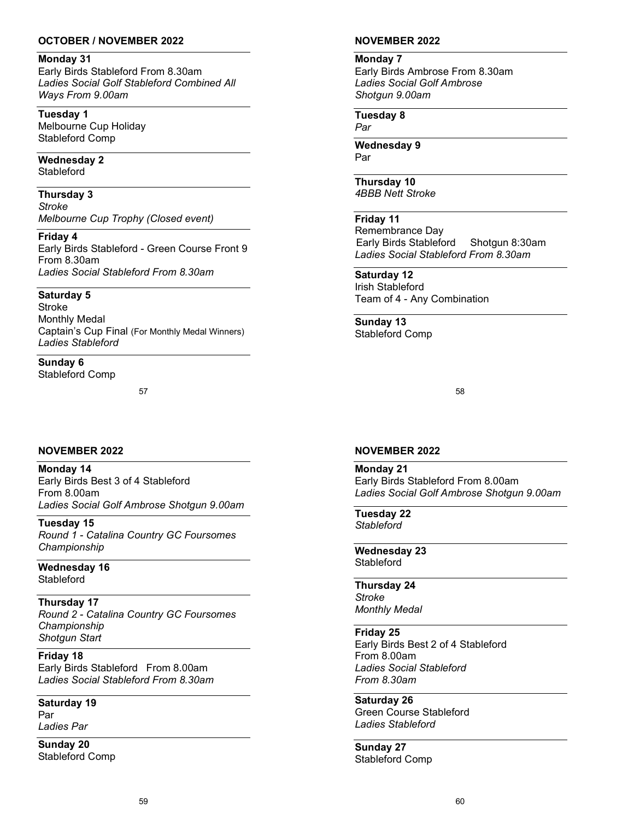# OCTOBER / NOVEMBER 2022

#### Monday 31

Early Birds Stableford From 8.30am Ladies Social Golf Stableford Combined All Ways From 9.00am

#### Tuesday 1

Melbourne Cup Holiday Stableford Comp

# Wednesday 2

**Stableford** 

# Thursday 3

Stroke Melbourne Cup Trophy (Closed event)

# Friday 4

Early Birds Stableford - Green Course Front 9 From 8.30am Ladies Social Stableford From 8.30am

## Saturday 5

**Stroke** Monthly Medal Captain's Cup Final (For Monthly Medal Winners) Ladies Stableford

#### Sunday 6 Stableford Comp

57

# NOVEMBER 2022

Monday 14 Early Birds Best 3 of 4 Stableford From 8.00am Ladies Social Golf Ambrose Shotgun 9.00am

Tuesday 15 Round 1 - Catalina Country GC Foursomes Championship

Wednesday 16 **Stableford** 

## Thursday 17 Round 2 - Catalina Country GC Foursomes **Championship** Shotgun Start

Friday 18 Early Birds Stableford From 8.00am Ladies Social Stableford From 8.30am

#### Saturday 19 Par Ladies Par

Sunday 20 Stableford Comp

## NOVEMBER 2022

# Monday 7

Early Birds Ambrose From 8.30am Ladies Social Golf Ambrose Shotgun 9.00am

#### Tuesday 8

Par

Wednesday 9 Par

Thursday 10 4BBB Nett Stroke

### Friday 11

Remembrance Day Early Birds Stableford Shotgun 8:30am Ladies Social Stableford From 8.30am

Saturday 12

Irish Stableford Team of 4 - Any Combination

Sunday 13 Stableford Comp

58

# NOVEMBER 2022

Monday 21 Early Birds Stableford From 8.00am Ladies Social Golf Ambrose Shotgun 9.00am

Tuesday 22 **Stableford** 

Wednesday 23 **Stableford** 

## Thursday 24

Stroke Monthly Medal

#### Friday 25

Early Birds Best 2 of 4 Stableford From 8.00am Ladies Social Stableford From 8.30am

Saturday 26 Green Course Stableford Ladies Stableford

Sunday 27 Stableford Comp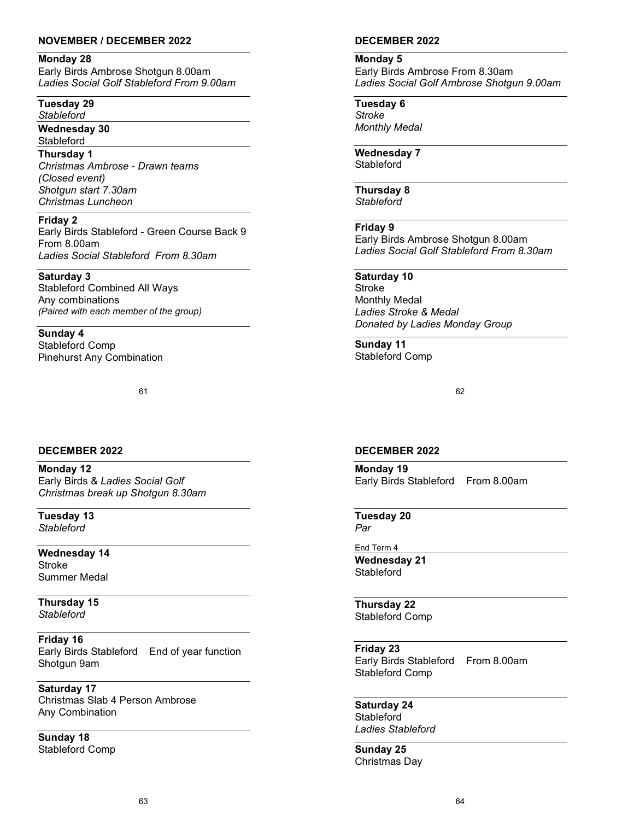# NOVEMBER / DECEMBER 2022

Monday 28

Early Birds Ambrose Shotgun 8.00am Ladies Social Golf Stableford From 9.00am

### Tuesday 29 **Stableford**

Wednesday 30

**Stableford** 

# Thursday 1

Christmas Ambrose - Drawn teams (Closed event) Shotgun start 7.30am Christmas Luncheon

## Friday 2

Early Birds Stableford - Green Course Back 9 From 8.00am Ladies Social Stableford From 8.30am

# Saturday 3

Stableford Combined All Ways Any combinations (Paired with each member of the group)

# Sunday 4

Stableford Comp Pinehurst Any Combination

61

# DECEMBER 2022

# Monday 5

Early Birds Ambrose From 8.30am Ladies Social Golf Ambrose Shotgun 9.00am

Tuesday 6 **Stroke** Monthly Medal

Wednesday 7 **Stableford** 

Thursday 8 **Stableford** 

Friday 9 Early Birds Ambrose Shotgun 8.00am Ladies Social Golf Stableford From 8.30am

# Saturday 10

**Stroke** Monthly Medal Ladies Stroke & Medal Donated by Ladies Monday Group

### Sunday 11 Stableford Comp

62

# DECEMBER 2022

Monday 12 Early Birds & Ladies Social Golf Christmas break up Shotgun 8.30am

Tuesday 13 **Stableford** 

#### Wednesday 14 **Stroke** Summer Medal

Thursday 15 **Stableford** 

### Friday 16 Early Birds Stableford End of year function Shotgun 9am

Saturday 17 Christmas Slab 4 Person Ambrose Any Combination

Sunday 18 Stableford Comp

# DECEMBER 2022

Monday 19 Early Birds Stableford From 8.00am

#### Tuesday 20 Par

End Term 4

Wednesday 21 **Stableford** 

Thursday 22 Stableford Comp

Friday 23 Early Birds Stableford From 8.00am Stableford Comp

Saturday 24 **Stableford** Ladies Stableford

Sunday 25 Christmas Day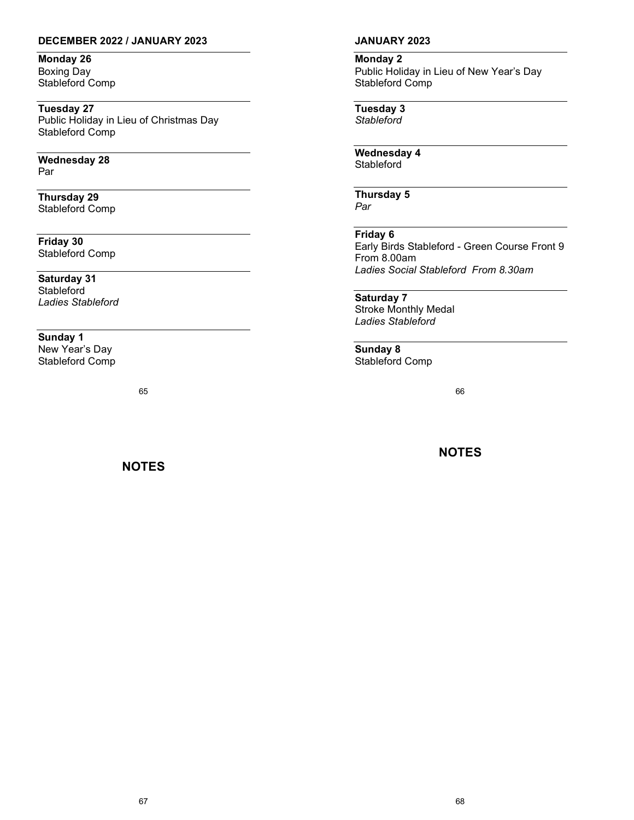# DECEMBER 2022 / JANUARY 2023

Monday 26 Boxing Day

Stableford Comp

Tuesday 27 Public Holiday in Lieu of Christmas Day Stableford Comp

Wednesday 28 Par

Thursday 29 Stableford Comp

Friday 30 Stableford Comp

Saturday 31 **Stableford** Ladies Stableford

Sunday 1 New Year's Day Stableford Comp

65

**NOTES** 

JANUARY 2023

Monday 2

Public Holiday in Lieu of New Year's Day Stableford Comp

Tuesday 3 **Stableford** 

Wednesday 4 **Stableford** 

Thursday 5 Par

Friday 6 Early Birds Stableford - Green Course Front 9 From 8.00am

Ladies Social Stableford From 8.30am

Saturday 7 Stroke Monthly Medal Ladies Stableford

Sunday 8 Stableford Comp

66

NOTES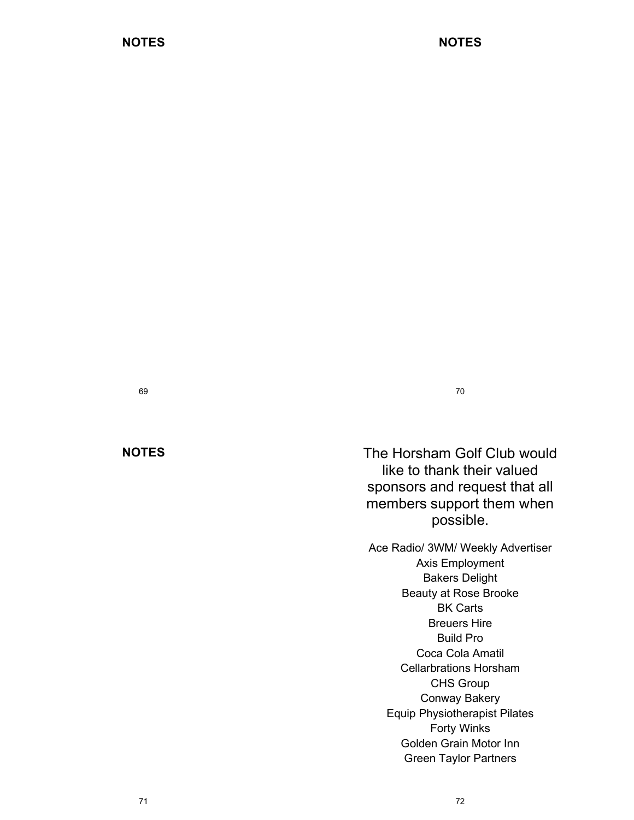# NOTES

69

# NOTES

The Horsham Golf Club would like to thank their valued sponsors and request that all members support them when possible.

70

Ace Radio/ 3WM/ Weekly Advertiser Axis Employment Bakers Delight Beauty at Rose Brooke BK Carts Breuers Hire Build Pro Coca Cola Amatil Cellarbrations Horsham CHS Group Conway Bakery Equip Physiotherapist Pilates Forty Winks Golden Grain Motor Inn Green Taylor Partners